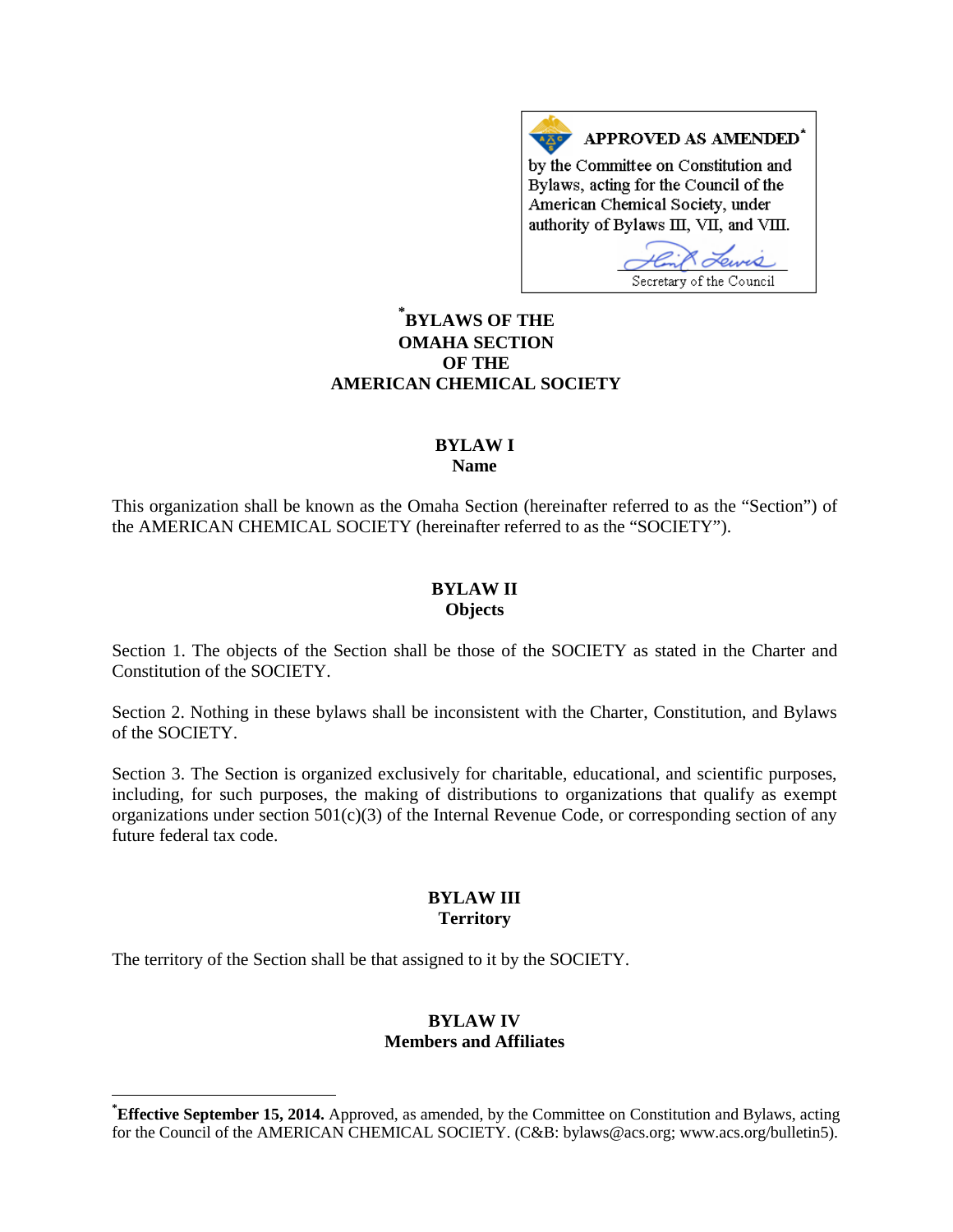APPROVED AS AMENDED\* by the Committee on Constitution and Bylaws, acting for the Council of the American Chemical Society, under authority of Bylaws III, VII, and VIII.

Secretary of the Council

# **[\\*](#page-0-0) BYLAWS OF THE OMAHA SECTION OF THE AMERICAN CHEMICAL SOCIETY**

#### **BYLAW I Name**

This organization shall be known as the Omaha Section (hereinafter referred to as the "Section") of the AMERICAN CHEMICAL SOCIETY (hereinafter referred to as the "SOCIETY").

### **BYLAW II Objects**

Section 1. The objects of the Section shall be those of the SOCIETY as stated in the Charter and Constitution of the SOCIETY.

Section 2. Nothing in these bylaws shall be inconsistent with the Charter, Constitution, and Bylaws of the SOCIETY.

Section 3. The Section is organized exclusively for charitable, educational, and scientific purposes, including, for such purposes, the making of distributions to organizations that qualify as exempt organizations under section  $501(c)(3)$  of the Internal Revenue Code, or corresponding section of any future federal tax code.

### **BYLAW III Territory**

The territory of the Section shall be that assigned to it by the SOCIETY.

## **BYLAW IV Members and Affiliates**

<span id="page-0-0"></span>**\* Effective September 15, 2014.** Approved, as amended, by the Committee on Constitution and Bylaws, acting for the Council of the AMERICAN CHEMICAL SOCIETY. (C&B: bylaws@acs.org; www.acs.org/bulletin5).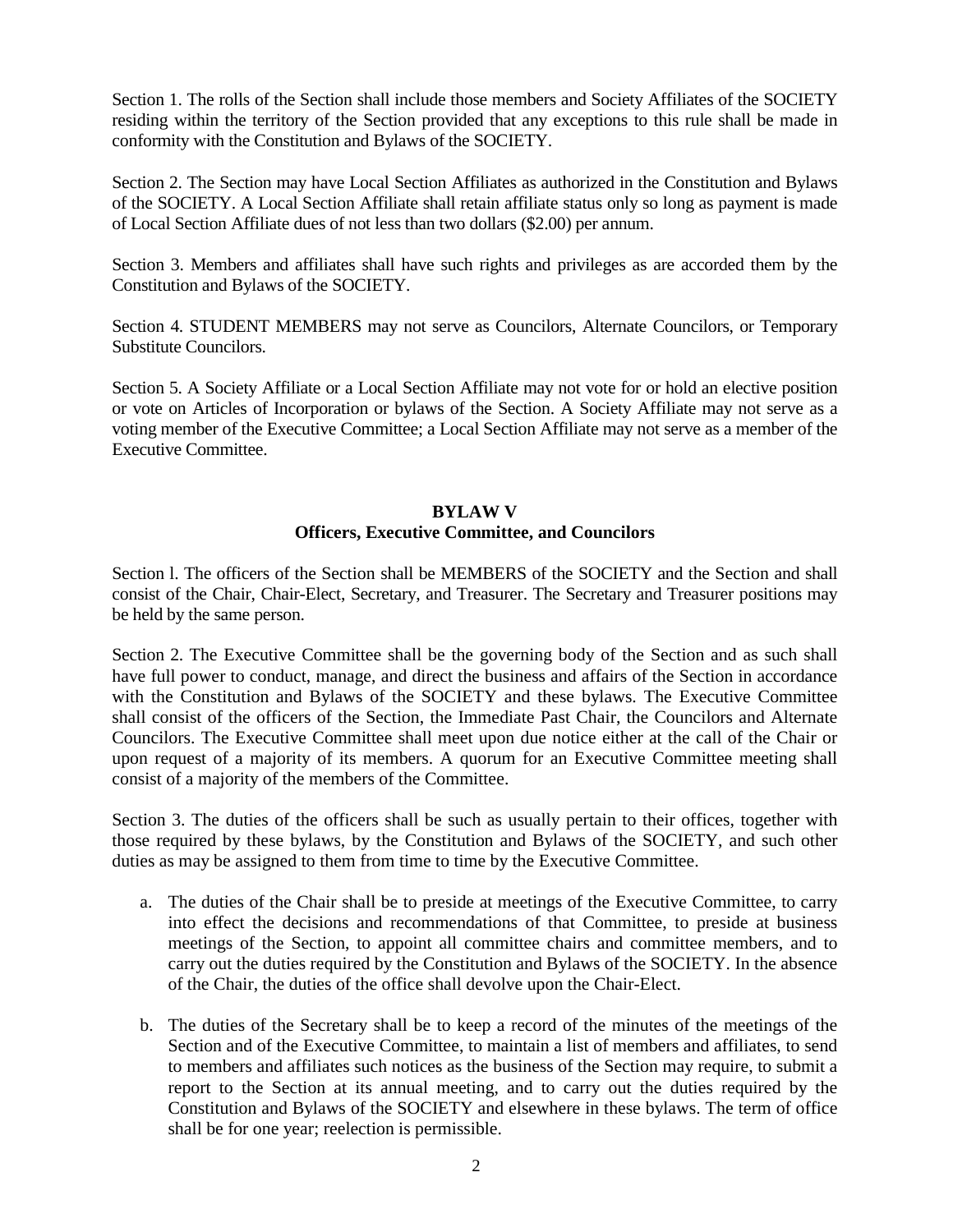Section 1. The rolls of the Section shall include those members and Society Affiliates of the SOCIETY residing within the territory of the Section provided that any exceptions to this rule shall be made in conformity with the Constitution and Bylaws of the SOCIETY.

Section 2. The Section may have Local Section Affiliates as authorized in the Constitution and Bylaws of the SOCIETY. A Local Section Affiliate shall retain affiliate status only so long as payment is made of Local Section Affiliate dues of not less than two dollars (\$2.00) per annum.

Section 3. Members and affiliates shall have such rights and privileges as are accorded them by the Constitution and Bylaws of the SOCIETY.

Section 4. STUDENT MEMBERS may not serve as Councilors, Alternate Councilors, or Temporary Substitute Councilors.

Section 5. A Society Affiliate or a Local Section Affiliate may not vote for or hold an elective position or vote on Articles of Incorporation or bylaws of the Section. A Society Affiliate may not serve as a voting member of the Executive Committee; a Local Section Affiliate may not serve as a member of the Executive Committee.

### **BYLAW V Officers, Executive Committee, and Councilors**

Section l. The officers of the Section shall be MEMBERS of the SOCIETY and the Section and shall consist of the Chair, Chair-Elect, Secretary, and Treasurer. The Secretary and Treasurer positions may be held by the same person.

Section 2. The Executive Committee shall be the governing body of the Section and as such shall have full power to conduct, manage, and direct the business and affairs of the Section in accordance with the Constitution and Bylaws of the SOCIETY and these bylaws. The Executive Committee shall consist of the officers of the Section, the Immediate Past Chair, the Councilors and Alternate Councilors. The Executive Committee shall meet upon due notice either at the call of the Chair or upon request of a majority of its members. A quorum for an Executive Committee meeting shall consist of a majority of the members of the Committee.

Section 3. The duties of the officers shall be such as usually pertain to their offices, together with those required by these bylaws, by the Constitution and Bylaws of the SOCIETY, and such other duties as may be assigned to them from time to time by the Executive Committee.

- a. The duties of the Chair shall be to preside at meetings of the Executive Committee, to carry into effect the decisions and recommendations of that Committee, to preside at business meetings of the Section, to appoint all committee chairs and committee members, and to carry out the duties required by the Constitution and Bylaws of the SOCIETY. In the absence of the Chair, the duties of the office shall devolve upon the Chair-Elect.
- b. The duties of the Secretary shall be to keep a record of the minutes of the meetings of the Section and of the Executive Committee, to maintain a list of members and affiliates, to send to members and affiliates such notices as the business of the Section may require, to submit a report to the Section at its annual meeting, and to carry out the duties required by the Constitution and Bylaws of the SOCIETY and elsewhere in these bylaws. The term of office shall be for one year; reelection is permissible.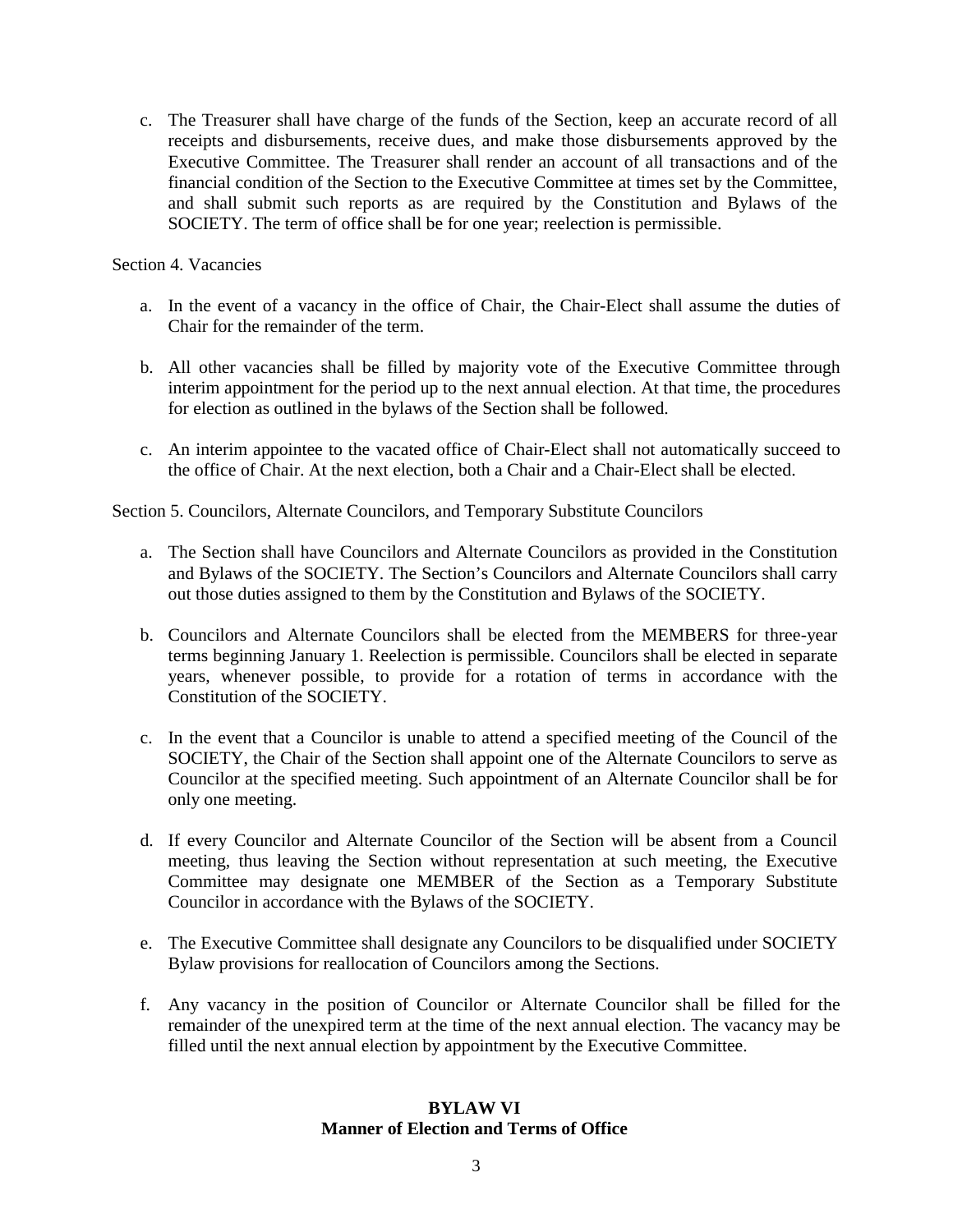c. The Treasurer shall have charge of the funds of the Section, keep an accurate record of all receipts and disbursements, receive dues, and make those disbursements approved by the Executive Committee. The Treasurer shall render an account of all transactions and of the financial condition of the Section to the Executive Committee at times set by the Committee, and shall submit such reports as are required by the Constitution and Bylaws of the SOCIETY. The term of office shall be for one year; reelection is permissible.

### Section 4. Vacancies

- a. In the event of a vacancy in the office of Chair, the Chair-Elect shall assume the duties of Chair for the remainder of the term.
- b. All other vacancies shall be filled by majority vote of the Executive Committee through interim appointment for the period up to the next annual election. At that time, the procedures for election as outlined in the bylaws of the Section shall be followed.
- c. An interim appointee to the vacated office of Chair-Elect shall not automatically succeed to the office of Chair. At the next election, both a Chair and a Chair-Elect shall be elected.

Section 5. Councilors, Alternate Councilors, and Temporary Substitute Councilors

- a. The Section shall have Councilors and Alternate Councilors as provided in the Constitution and Bylaws of the SOCIETY. The Section's Councilors and Alternate Councilors shall carry out those duties assigned to them by the Constitution and Bylaws of the SOCIETY.
- b. Councilors and Alternate Councilors shall be elected from the MEMBERS for three-year terms beginning January 1. Reelection is permissible. Councilors shall be elected in separate years, whenever possible, to provide for a rotation of terms in accordance with the Constitution of the SOCIETY.
- c. In the event that a Councilor is unable to attend a specified meeting of the Council of the SOCIETY, the Chair of the Section shall appoint one of the Alternate Councilors to serve as Councilor at the specified meeting. Such appointment of an Alternate Councilor shall be for only one meeting.
- d. If every Councilor and Alternate Councilor of the Section will be absent from a Council meeting, thus leaving the Section without representation at such meeting, the Executive Committee may designate one MEMBER of the Section as a Temporary Substitute Councilor in accordance with the Bylaws of the SOCIETY.
- e. The Executive Committee shall designate any Councilors to be disqualified under SOCIETY Bylaw provisions for reallocation of Councilors among the Sections.
- f. Any vacancy in the position of Councilor or Alternate Councilor shall be filled for the remainder of the unexpired term at the time of the next annual election. The vacancy may be filled until the next annual election by appointment by the Executive Committee.

## **BYLAW VI Manner of Election and Terms of Office**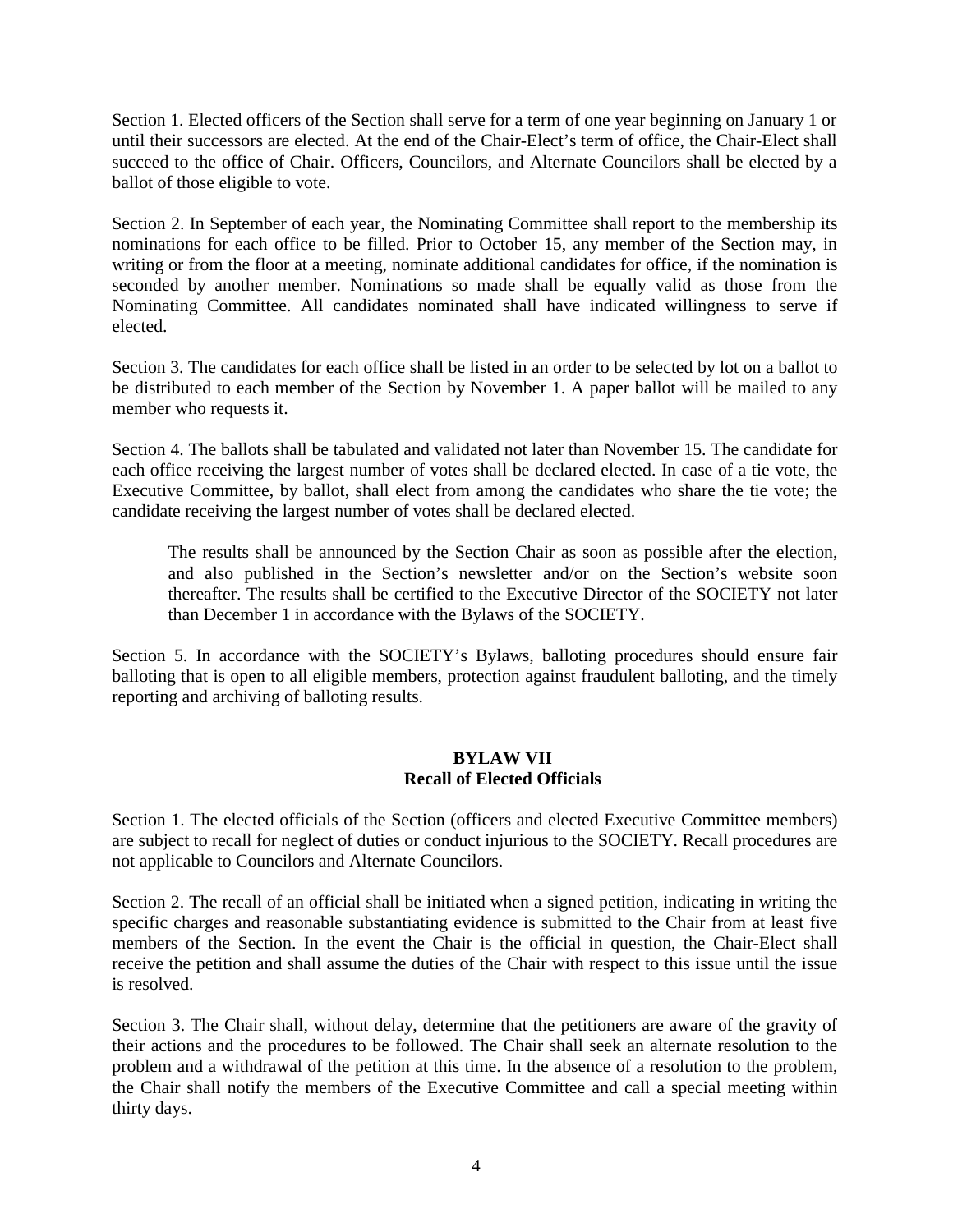Section 1. Elected officers of the Section shall serve for a term of one year beginning on January 1 or until their successors are elected. At the end of the Chair-Elect's term of office, the Chair-Elect shall succeed to the office of Chair. Officers, Councilors, and Alternate Councilors shall be elected by a ballot of those eligible to vote.

Section 2. In September of each year, the Nominating Committee shall report to the membership its nominations for each office to be filled. Prior to October 15, any member of the Section may, in writing or from the floor at a meeting, nominate additional candidates for office, if the nomination is seconded by another member. Nominations so made shall be equally valid as those from the Nominating Committee. All candidates nominated shall have indicated willingness to serve if elected.

Section 3. The candidates for each office shall be listed in an order to be selected by lot on a ballot to be distributed to each member of the Section by November 1. A paper ballot will be mailed to any member who requests it.

Section 4. The ballots shall be tabulated and validated not later than November 15. The candidate for each office receiving the largest number of votes shall be declared elected. In case of a tie vote, the Executive Committee, by ballot, shall elect from among the candidates who share the tie vote; the candidate receiving the largest number of votes shall be declared elected.

The results shall be announced by the Section Chair as soon as possible after the election, and also published in the Section's newsletter and/or on the Section's website soon thereafter. The results shall be certified to the Executive Director of the SOCIETY not later than December 1 in accordance with the Bylaws of the SOCIETY.

Section 5. In accordance with the SOCIETY's Bylaws, balloting procedures should ensure fair balloting that is open to all eligible members, protection against fraudulent balloting, and the timely reporting and archiving of balloting results.

### **BYLAW VII Recall of Elected Officials**

Section 1. The elected officials of the Section (officers and elected Executive Committee members) are subject to recall for neglect of duties or conduct injurious to the SOCIETY. Recall procedures are not applicable to Councilors and Alternate Councilors.

Section 2. The recall of an official shall be initiated when a signed petition, indicating in writing the specific charges and reasonable substantiating evidence is submitted to the Chair from at least five members of the Section. In the event the Chair is the official in question, the Chair-Elect shall receive the petition and shall assume the duties of the Chair with respect to this issue until the issue is resolved.

Section 3. The Chair shall, without delay, determine that the petitioners are aware of the gravity of their actions and the procedures to be followed. The Chair shall seek an alternate resolution to the problem and a withdrawal of the petition at this time. In the absence of a resolution to the problem, the Chair shall notify the members of the Executive Committee and call a special meeting within thirty days.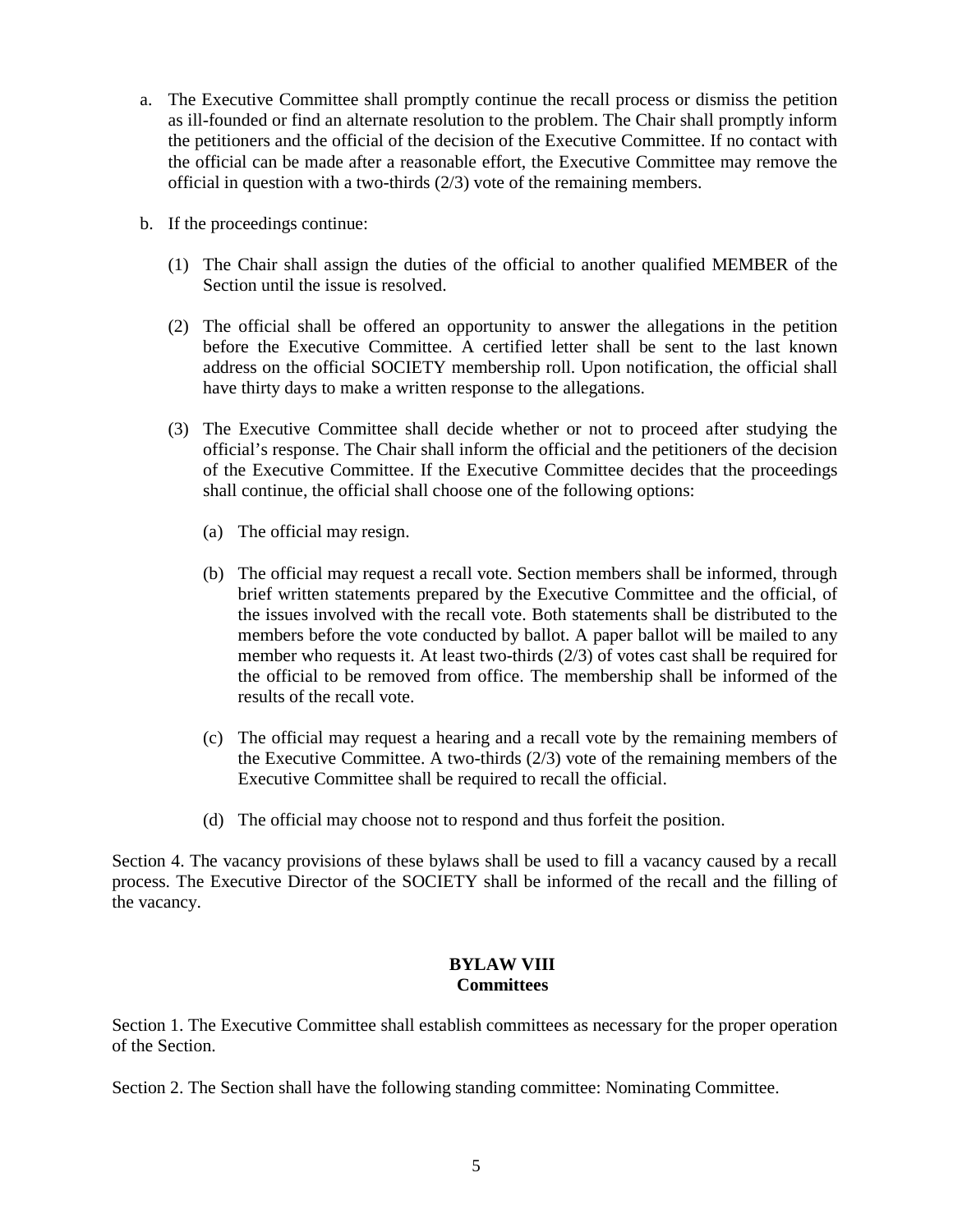- a. The Executive Committee shall promptly continue the recall process or dismiss the petition as ill-founded or find an alternate resolution to the problem. The Chair shall promptly inform the petitioners and the official of the decision of the Executive Committee. If no contact with the official can be made after a reasonable effort, the Executive Committee may remove the official in question with a two-thirds (2/3) vote of the remaining members.
- b. If the proceedings continue:
	- (1) The Chair shall assign the duties of the official to another qualified MEMBER of the Section until the issue is resolved.
	- (2) The official shall be offered an opportunity to answer the allegations in the petition before the Executive Committee. A certified letter shall be sent to the last known address on the official SOCIETY membership roll. Upon notification, the official shall have thirty days to make a written response to the allegations.
	- (3) The Executive Committee shall decide whether or not to proceed after studying the official's response. The Chair shall inform the official and the petitioners of the decision of the Executive Committee. If the Executive Committee decides that the proceedings shall continue, the official shall choose one of the following options:
		- (a) The official may resign.
		- (b) The official may request a recall vote. Section members shall be informed, through brief written statements prepared by the Executive Committee and the official, of the issues involved with the recall vote. Both statements shall be distributed to the members before the vote conducted by ballot. A paper ballot will be mailed to any member who requests it. At least two-thirds (2/3) of votes cast shall be required for the official to be removed from office. The membership shall be informed of the results of the recall vote.
		- (c) The official may request a hearing and a recall vote by the remaining members of the Executive Committee. A two-thirds (2/3) vote of the remaining members of the Executive Committee shall be required to recall the official.
		- (d) The official may choose not to respond and thus forfeit the position.

Section 4. The vacancy provisions of these bylaws shall be used to fill a vacancy caused by a recall process. The Executive Director of the SOCIETY shall be informed of the recall and the filling of the vacancy.

### **BYLAW VIII Committees**

Section 1. The Executive Committee shall establish committees as necessary for the proper operation of the Section.

Section 2. The Section shall have the following standing committee: Nominating Committee.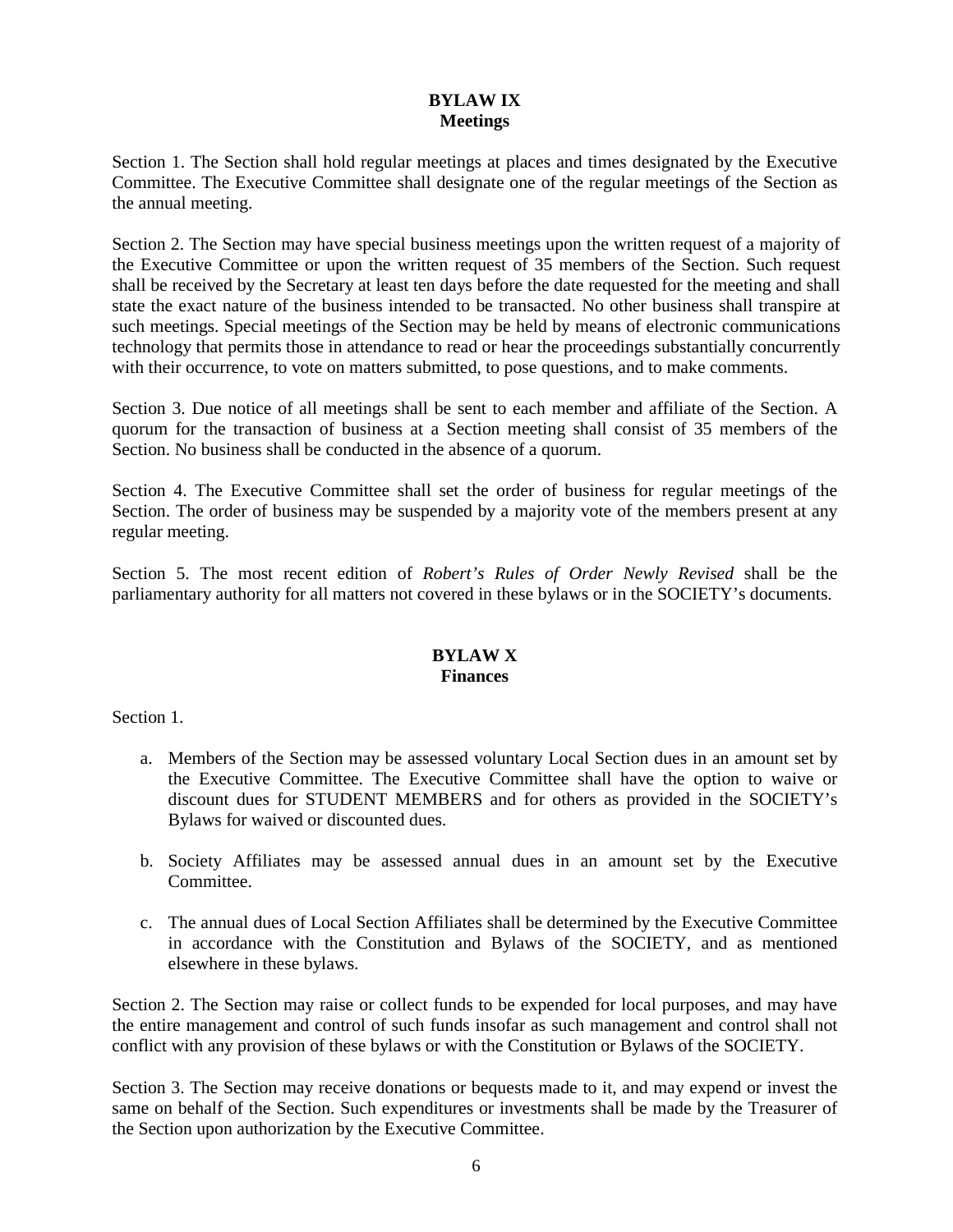## **BYLAW IX Meetings**

Section 1. The Section shall hold regular meetings at places and times designated by the Executive Committee. The Executive Committee shall designate one of the regular meetings of the Section as the annual meeting.

Section 2. The Section may have special business meetings upon the written request of a majority of the Executive Committee or upon the written request of 35 members of the Section. Such request shall be received by the Secretary at least ten days before the date requested for the meeting and shall state the exact nature of the business intended to be transacted. No other business shall transpire at such meetings. Special meetings of the Section may be held by means of electronic communications technology that permits those in attendance to read or hear the proceedings substantially concurrently with their occurrence, to vote on matters submitted, to pose questions, and to make comments.

Section 3. Due notice of all meetings shall be sent to each member and affiliate of the Section. A quorum for the transaction of business at a Section meeting shall consist of 35 members of the Section. No business shall be conducted in the absence of a quorum.

Section 4. The Executive Committee shall set the order of business for regular meetings of the Section. The order of business may be suspended by a majority vote of the members present at any regular meeting.

Section 5. The most recent edition of *Robert's Rules of Order Newly Revised* shall be the parliamentary authority for all matters not covered in these bylaws or in the SOCIETY's documents.

## **BYLAW X Finances**

Section 1.

- a. Members of the Section may be assessed voluntary Local Section dues in an amount set by the Executive Committee. The Executive Committee shall have the option to waive or discount dues for STUDENT MEMBERS and for others as provided in the SOCIETY's Bylaws for waived or discounted dues.
- b. Society Affiliates may be assessed annual dues in an amount set by the Executive Committee.
- c. The annual dues of Local Section Affiliates shall be determined by the Executive Committee in accordance with the Constitution and Bylaws of the SOCIETY, and as mentioned elsewhere in these bylaws.

Section 2. The Section may raise or collect funds to be expended for local purposes, and may have the entire management and control of such funds insofar as such management and control shall not conflict with any provision of these bylaws or with the Constitution or Bylaws of the SOCIETY.

Section 3. The Section may receive donations or bequests made to it, and may expend or invest the same on behalf of the Section. Such expenditures or investments shall be made by the Treasurer of the Section upon authorization by the Executive Committee.